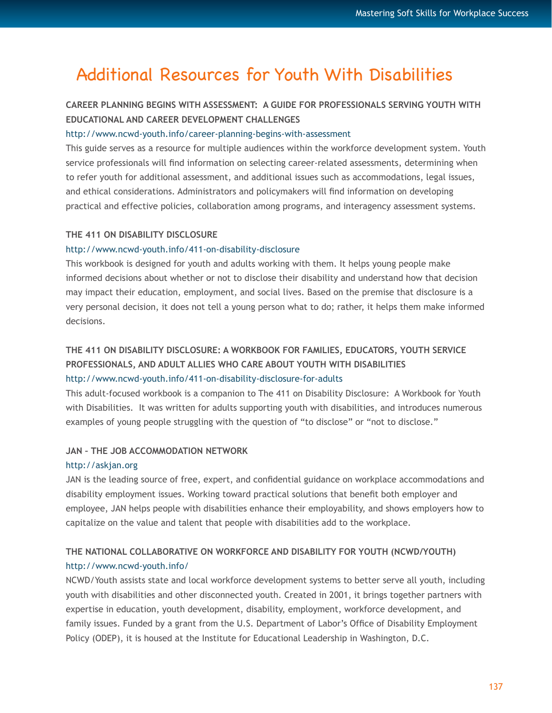# Additional Resources for Youth With Disabilities

## **CAREER PLANNING BEGINS WITH ASSESSMENT: A GUIDE FOR PROFESSIONALS SERVING YOUTH WITH EDUCATIONAL AND CAREER DEVELOPMENT CHALLENGES**

### <http://www.ncwd-youth.info/career-planning-begins-with-assessment>

This guide serves as a resource for multiple audiences within the workforce development system. Youth service professionals will find information on selecting career-related assessments, determining when to refer youth for additional assessment, and additional issues such as accommodations, legal issues, and ethical considerations. Administrators and policymakers will find information on developing practical and effective policies, collaboration among programs, and interagency assessment systems.

### **THE 411 ON DISABILITY DISCLOSURE**

### <http://www.ncwd-youth.info/411-on-disability-disclosure>

This workbook is designed for youth and adults working with them. It helps young people make informed decisions about whether or not to disclose their disability and understand how that decision may impact their education, employment, and social lives. Based on the premise that disclosure is a very personal decision, it does not tell a young person what to do; rather, it helps them make informed decisions.

### **THE 411 ON DISABILITY DISCLOSURE: A WORKBOOK FOR FAMILIES, EDUCATORS, YOUTH SERVICE PROFESSIONALS, AND ADULT ALLIES WHO CARE ABOUT YOUTH WITH DISABILITIES** [http://www.ncwd-youth.info/411-on-disability-disclosure-for-adults](http://www.ncwd-/411-on-disability-disclosure-for-adults)

This adult-focused workbook is a companion to The 411 on Disability Disclosure: A Workbook for Youth with Disabilities. It was written for adults supporting youth with disabilities, and introduces numerous examples of young people struggling with the question of "to disclose" or "not to disclose."

### **JAN – THE JOB ACCOMMODATION NETWORK**

#### <http://askjan.org>

JAN is the leading source of free, expert, and confidential guidance on workplace accommodations and disability employment issues. Working toward practical solutions that benefit both employer and employee, JAN helps people with disabilities enhance their employability, and shows employers how to capitalize on the value and talent that people with disabilities add to the workplace.

### **THE NATIONAL COLLABORATIVE ON WORKFORCE AND DISABILITY FOR YOUTH (NCWD/YOUTH)** <http://www.ncwd-youth.info/>

NCWD/Youth assists state and local workforce development systems to better serve all youth, including youth with disabilities and other disconnected youth. Created in 2001, it brings together partners with expertise in education, youth development, disability, employment, workforce development, and family issues. Funded by a grant from the U.S. Department of Labor's Office of Disability Employment Policy (ODEP), it is housed at the Institute for Educational Leadership in Washington, D.C.